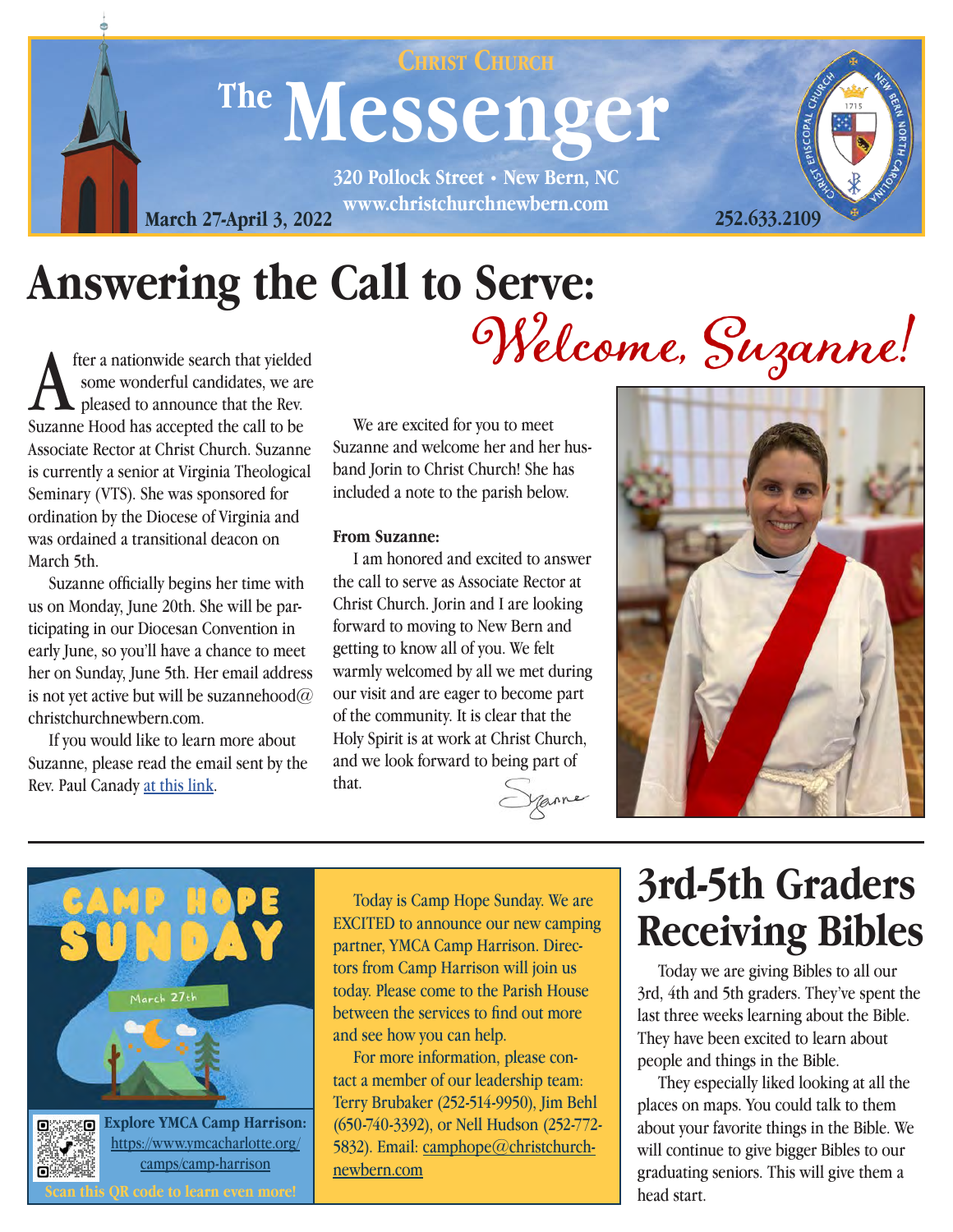### The Messenger **320 Pollock Street • New Bern, NC CHRIST CHURCH**

**www.christchurchnewbern.com March 27-April 3, 2022**

## **Answering the Call to Serve:**

**A** fter a nationwide search that yielded some wonderful candidates, we are pleased to announce that the Rev.<br>Suzanne Hood has accepted the call to be fter a nationwide search that yielded some wonderful candidates, we are pleased to announce that the Rev. Associate Rector at Christ Church. Suzanne is currently a senior at Virginia Theological Seminary (VTS). She was sponsored for ordination by the Diocese of Virginia and was ordained a transitional deacon on March 5th.

 Suzanne officially begins her time with us on Monday, June 20th. She will be participating in our Diocesan Convention in early June, so you'll have a chance to meet her on Sunday, June 5th. Her email address is not yet active but will be suzannehood $@$ christchurchnewbern.com.

 If you would like to learn more about Suzanne, please read the email sent by the Rev. Paul Canady [at this link](https://mailchi.mp/christchurchnewbern/welcomesuzannehood).

 We are excited for you to meet Suzanne and welcome her and her husband Jorin to Christ Church! She has included a note to the parish below.

#### **From Suzanne:**

 I am honored and excited to answer the call to serve as Associate Rector at Christ Church. Jorin and I are looking forward to moving to New Bern and getting to know all of you. We felt warmly welcomed by all we met during our visit and are eager to become part of the community. It is clear that the Holy Spirit is at work at Christ Church, and we look forward to being part of that.





Today is Camp Hope Sunday. We are EXCITED to announce our new camping partner, YMCA Camp Harrison. Directors from Camp Harrison will join us today. Please come to the Parish House between the services to find out more and see how you can help.

For more information, please contact a member of our leadership team: Terry Brubaker (252-514-9950), Jim Behl (650-740-3392), or Nell Hudson (252-772- 5832). Email: [camphope@christchurch](mailto:camphope%40christchurchnewbern.com%20?subject=)[newbern.com](mailto:camphope%40christchurchnewbern.com%20?subject=)

j

### **3rd-5th Graders Receiving Bibles**

 Today we are giving Bibles to all our 3rd, 4th and 5th graders. They've spent the last three weeks learning about the Bible. They have been excited to learn about people and things in the Bible.

 They especially liked looking at all the places on maps. You could talk to them about your favorite things in the Bible. We will continue to give bigger Bibles to our graduating seniors. This will give them a head start.

Welcome, Suzanne!



**252.633.2109**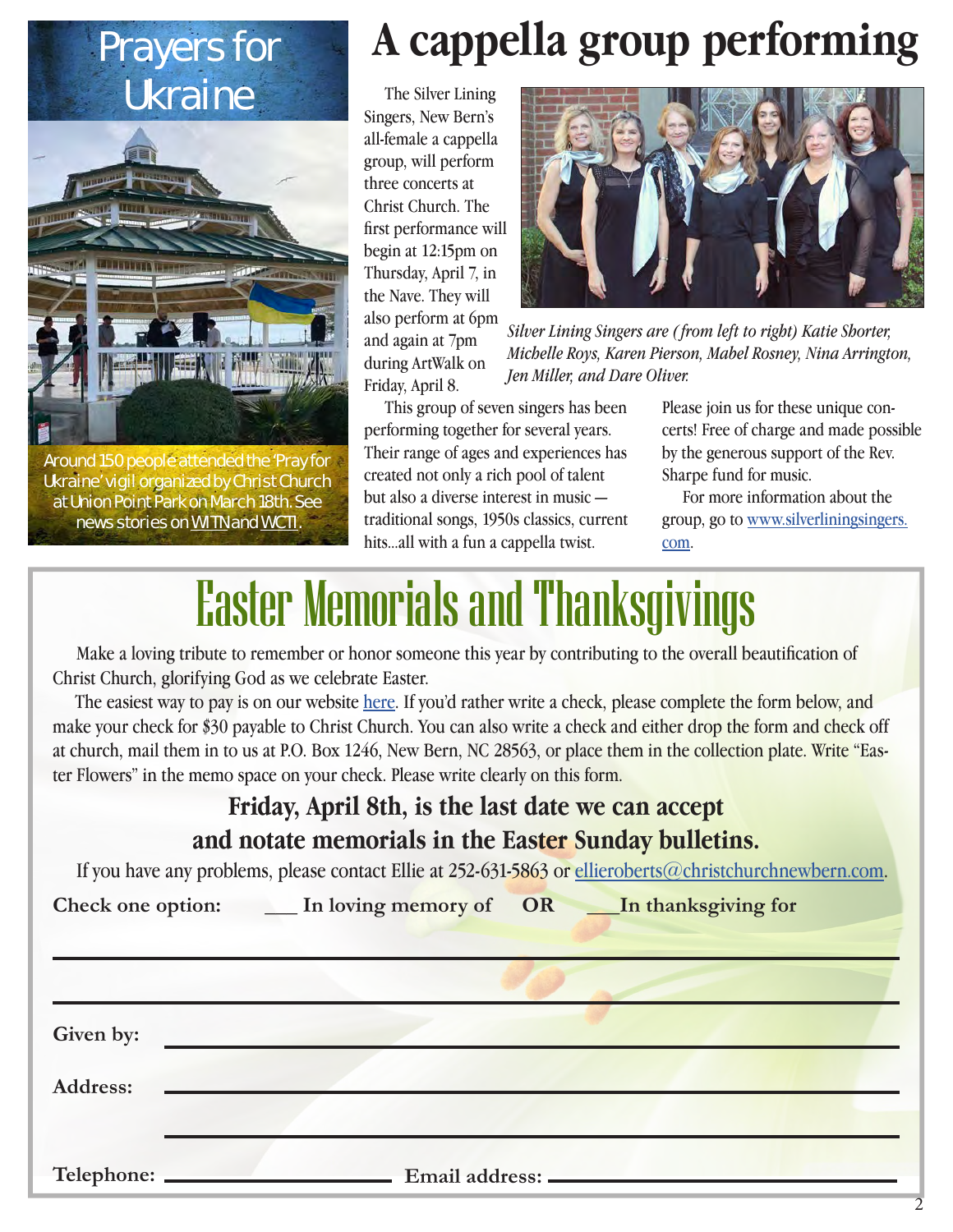# Ukraine



Around 150 people attended the 'Pray for Ukraine' vigil organized by Christ Church at Union Point Park on March 18th. See news stories on [WITN](https://www.witn.com/2022/03/19/faith-leaders-pray-ukraine-vigil-held-union-point-park/?fbclid=IwAR2vgjYFNY2flx5Dq0djzP5fKWyusL3UpA1u09LtoVHUMj3dL_Ts3n26mHU) and [WCTI](https://wcti12.com/news/local/people-gather-at-vigil-in-new-bern-to-pray-for-peace-for-ukraine?fbclid=IwAR1_ysLfwSWIGsRxa3_96Z-mEOOIdjv3HacVwCx3AcEgdB5CKZBCWIoTyw4).

### Prayers for **A cappella group performing**

 The Silver Lining Singers, New Bern's all-female a cappella group, will perform three concerts at Christ Church. The first performance will begin at 12:15pm on Thursday, April 7, in the Nave. They will also perform at 6pm and again at 7pm during ArtWalk on Friday, April 8.



*Silver Lining Singers are ( from left to right) Katie Shorter, Michelle Roys, Karen Pierson, Mabel Rosney, Nina Arrington, Jen Miller, and Dare Oliver.*

 This group of seven singers has been performing together for several years. Their range of ages and experiences has created not only a rich pool of talent but also a diverse interest in music traditional songs, 1950s classics, current hits...all with a fun a cappella twist.

Please join us for these unique concerts! Free of charge and made possible by the generous support of the Rev. Sharpe fund for music.

 For more information about the group, go to [www.silverliningsingers.](http://www.silverliningsingers.com) [com](http://www.silverliningsingers.com).

## Easter Memorials and Thanksgivings

 Make a loving tribute to remember or honor someone this year by contributing to the overall beautification of Christ Church, glorifying God as we celebrate Easter.

The easiest way to pay is on our website [here.](https://www.christchurchnewbern.com/give) If you'd rather write a check, please complete the form below, and make your check for \$30 payable to Christ Church. You can also write a check and either drop the form and check off at church, mail them in to us at P.O. Box 1246, New Bern, NC 28563, or place them in the collection plate. Write "Easter Flowers" in the memo space on your check. Please write clearly on this form.

#### **Friday, April 8th, is the last date we can accept and notate memorials in the Easter Sunday bulletins.**

If you have any problems, please contact Ellie at 252-631-5863 or [ellieroberts@christchurchnewbern.com.](mailto:ellieroberts%40christchurchnewbern.com?subject=)

|                 | Check one option: _____ In loving memory of OR ____ In thanksgiving for |
|-----------------|-------------------------------------------------------------------------|
|                 |                                                                         |
| Given by:       |                                                                         |
| <b>Address:</b> |                                                                         |
| Telephone:      | Email address: -                                                        |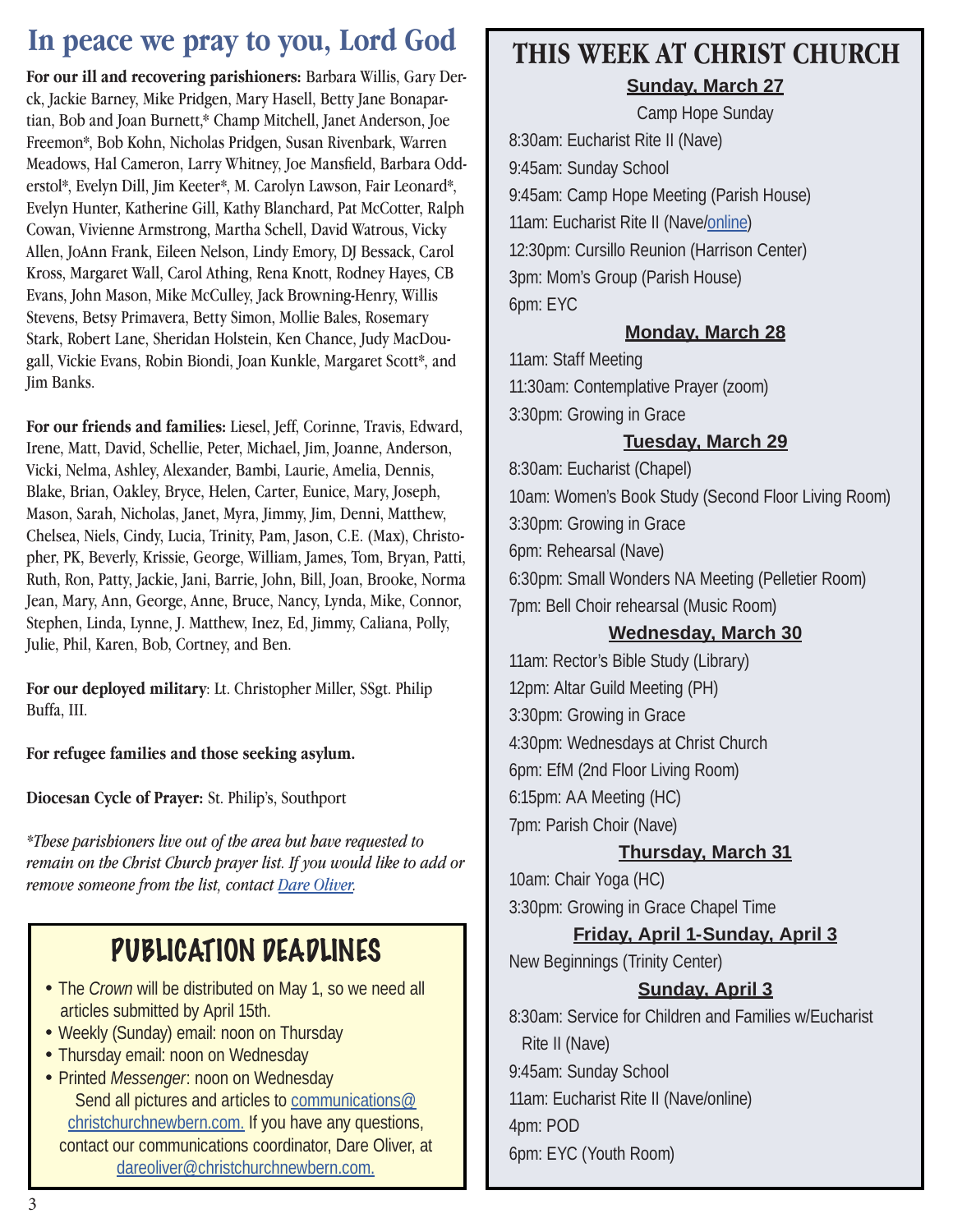### **In peace we pray to you, Lord God**

**For our ill and recovering parishioners:** Barbara Willis, Gary Derck, Jackie Barney, Mike Pridgen, Mary Hasell, Betty Jane Bonapartian, Bob and Joan Burnett,\* Champ Mitchell, Janet Anderson, Joe Freemon\*, Bob Kohn, Nicholas Pridgen, Susan Rivenbark, Warren Meadows, Hal Cameron, Larry Whitney, Joe Mansfield, Barbara Odderstol\*, Evelyn Dill, Jim Keeter\*, M. Carolyn Lawson, Fair Leonard\*, Evelyn Hunter, Katherine Gill, Kathy Blanchard, Pat McCotter, Ralph Cowan, Vivienne Armstrong, Martha Schell, David Watrous, Vicky Allen, JoAnn Frank, Eileen Nelson, Lindy Emory, DJ Bessack, Carol Kross, Margaret Wall, Carol Athing, Rena Knott, Rodney Hayes, CB Evans, John Mason, Mike McCulley, Jack Browning-Henry, Willis Stevens, Betsy Primavera, Betty Simon, Mollie Bales, Rosemary Stark, Robert Lane, Sheridan Holstein, Ken Chance, Judy MacDougall, Vickie Evans, Robin Biondi, Joan Kunkle, Margaret Scott\*, and Jim Banks.

**For our friends and families:** Liesel, Jeff, Corinne, Travis, Edward, Irene, Matt, David, Schellie, Peter, Michael, Jim, Joanne, Anderson, Vicki, Nelma, Ashley, Alexander, Bambi, Laurie, Amelia, Dennis, Blake, Brian, Oakley, Bryce, Helen, Carter, Eunice, Mary, Joseph, Mason, Sarah, Nicholas, Janet, Myra, Jimmy, Jim, Denni, Matthew, Chelsea, Niels, Cindy, Lucia, Trinity, Pam, Jason, C.E. (Max), Christopher, PK, Beverly, Krissie, George, William, James, Tom, Bryan, Patti, Ruth, Ron, Patty, Jackie, Jani, Barrie, John, Bill, Joan, Brooke, Norma Jean, Mary, Ann, George, Anne, Bruce, Nancy, Lynda, Mike, Connor, Stephen, Linda, Lynne, J. Matthew, Inez, Ed, Jimmy, Caliana, Polly, Julie, Phil, Karen, Bob, Cortney, and Ben.

**For our deployed military**: Lt. Christopher Miller, SSgt. Philip Buffa, III.

**For refugee families and those seeking asylum.**

**Diocesan Cycle of Prayer:** St. Philip's, Southport

*\*These parishioners live out of the area but have requested to remain on the Christ Church prayer list. If you would like to add or remove someone from the list, contact Dare Oliver.*

### PUBLICATION DEADLINES

- The *Crown* will be distributed on May 1, so we need all articles submitted by April 15th.
- Weekly (Sunday) email: noon on Thursday
- Thursday email: noon on Wednesday
- Printed *Messenger*: noon on Wednesday Send all pictures and articles to [communications@](mailto:communications@christchurchnewbern.com) [christchurchnewbern.com](mailto:communications@christchurchnewbern.com). If you have any questions, contact our communications coordinator, Dare Oliver, at [dareoliver@christchurchnewbern.com](mailto:dareoliver%40christchurchnewbern.com?subject=).

#### **THIS WEEK AT CHRIST CHURCH Sunday, March 27**

Camp Hope Sunday

8:30am: Eucharist Rite II (Nave) 9:45am: Sunday School 9:45am: Camp Hope Meeting (Parish House) 11am: Eucharist Rite II (Nave[/online](https://youtu.be/MdQ_3eSaSA8)) 12:30pm: Cursillo Reunion (Harrison Center) 3pm: Mom's Group (Parish House) 6pm: EYC

#### **Monday, March 28**

11am: Staff Meeting 11:30am: Contemplative Prayer (zoom) 3:30pm: Growing in Grace

#### **Tuesday, March 29**

8:30am: Eucharist (Chapel) 10am: Women's Book Study (Second Floor Living Room) 3:30pm: Growing in Grace 6pm: Rehearsal (Nave) 6:30pm: Small Wonders NA Meeting (Pelletier Room) 7pm: Bell Choir rehearsal (Music Room)

#### **Wednesday, March 30**

11am: Rector's Bible Study (Library) 12pm: Altar Guild Meeting (PH) 3:30pm: Growing in Grace 4:30pm: Wednesdays at Christ Church 6pm: EfM (2nd Floor Living Room) 6:15pm: AA Meeting (HC) 7pm: Parish Choir (Nave)

#### **Thursday, March 31**

10am: Chair Yoga (HC) 3:30pm: Growing in Grace Chapel Time

#### **Friday, April 1-Sunday, April 3**

New Beginnings (Trinity Center)

#### **Sunday, April 3**

8:30am: Service for Children and Families w/Eucharist Rite II (Nave) 9:45am: Sunday School 11am: Eucharist Rite II (Nave/online) 4pm: POD 6pm: EYC (Youth Room)